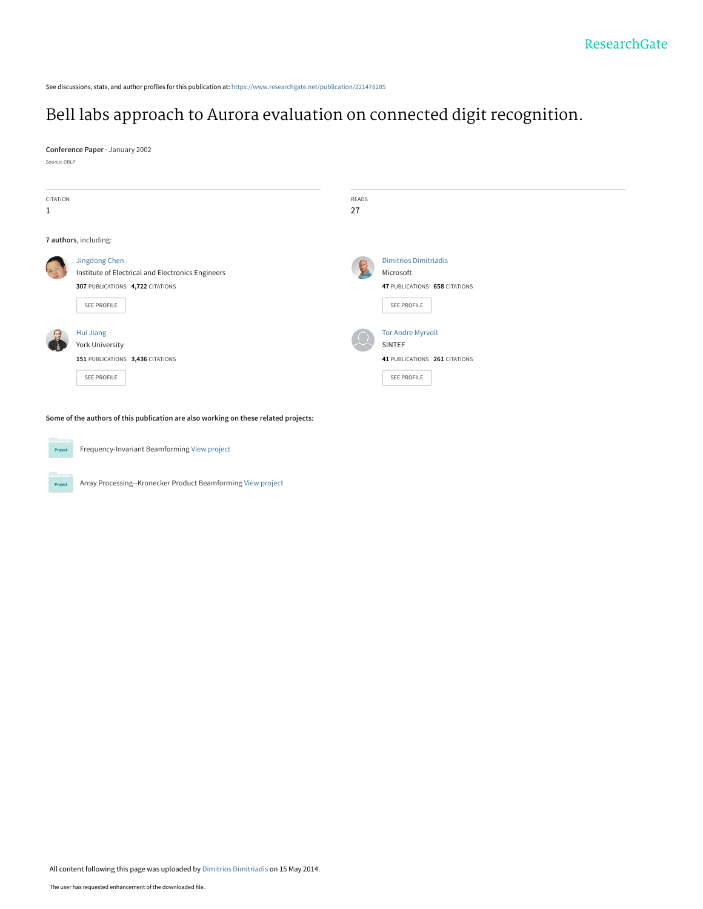See discussions, stats, and author profiles for this publication at: [https://www.researchgate.net/publication/221478285](https://www.researchgate.net/publication/221478285_Bell_labs_approach_to_Aurora_evaluation_on_connected_digit_recognition?enrichId=rgreq-1876651658036bee097c5301620ddfbe-XXX&enrichSource=Y292ZXJQYWdlOzIyMTQ3ODI4NTtBUzo5NzE5NDcwMzA2NTA5NEAxNDAwMTg0NDMxMzk1&el=1_x_2&_esc=publicationCoverPdf)

# [Bell labs approach to Aurora evaluation on connected digit recognition.](https://www.researchgate.net/publication/221478285_Bell_labs_approach_to_Aurora_evaluation_on_connected_digit_recognition?enrichId=rgreq-1876651658036bee097c5301620ddfbe-XXX&enrichSource=Y292ZXJQYWdlOzIyMTQ3ODI4NTtBUzo5NzE5NDcwMzA2NTA5NEAxNDAwMTg0NDMxMzk1&el=1_x_3&_esc=publicationCoverPdf)

**Conference Paper** · January 2002

Source: DBLP



**Some of the authors of this publication are also working on these related projects:**



Frequency-Invariant Beamforming [View project](https://www.researchgate.net/project/Frequency-Invariant-Beamforming-2?enrichId=rgreq-1876651658036bee097c5301620ddfbe-XXX&enrichSource=Y292ZXJQYWdlOzIyMTQ3ODI4NTtBUzo5NzE5NDcwMzA2NTA5NEAxNDAwMTg0NDMxMzk1&el=1_x_9&_esc=publicationCoverPdf)



Array Processing--Kronecker Product Beamforming [View project](https://www.researchgate.net/project/Array-Processing--Kronecker-Product-Beamforming?enrichId=rgreq-1876651658036bee097c5301620ddfbe-XXX&enrichSource=Y292ZXJQYWdlOzIyMTQ3ODI4NTtBUzo5NzE5NDcwMzA2NTA5NEAxNDAwMTg0NDMxMzk1&el=1_x_9&_esc=publicationCoverPdf)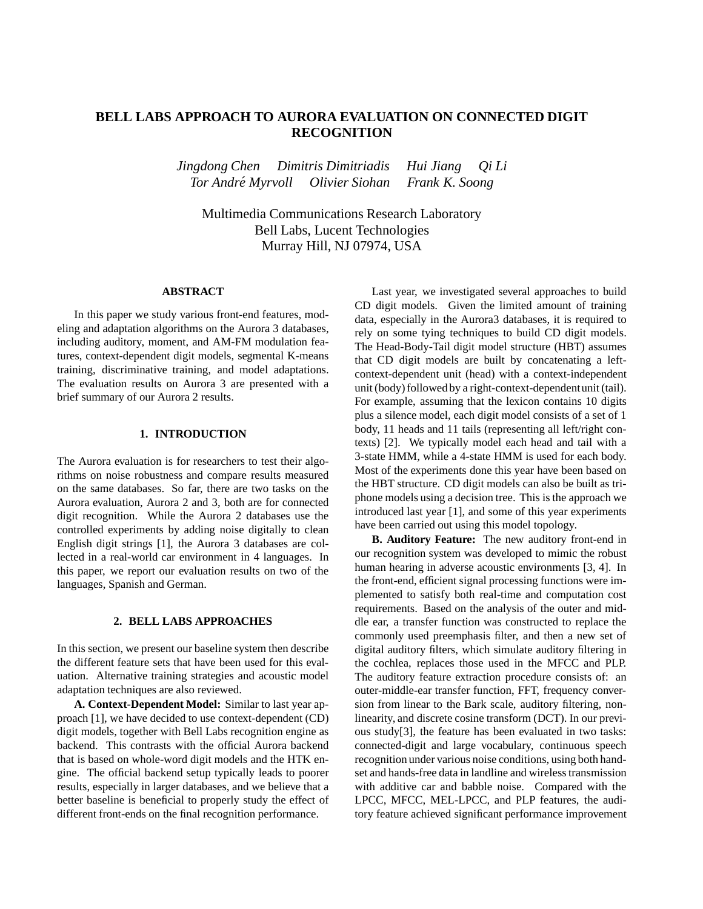# **BELL LABS APPROACH TO AURORA EVALUATION ON CONNECTED DIGIT RECOGNITION**

*Jingdong Chen Dimitris Dimitriadis Hui Jiang Qi Li Tor Andre´ Myrvoll Olivier Siohan Frank K. Soong*

Multimedia Communications Research Laboratory Bell Labs, Lucent Technologies Murray Hill, NJ 07974, USA

# **ABSTRACT**

In this paper we study various front-end features, modeling and adaptation algorithms on the Aurora 3 databases, including auditory, moment, and AM-FM modulation features, context-dependent digit models, segmental K-means training, discriminative training, and model adaptations. The evaluation results on Aurora 3 are presented with a brief summary of our Aurora 2 results.

#### **1. INTRODUCTION**

The Aurora evaluation is for researchers to test their algorithms on noise robustness and compare results measured on the same databases. So far, there are two tasks on the Aurora evaluation, Aurora 2 and 3, both are for connected digit recognition. While the Aurora 2 databases use the controlled experiments by adding noise digitally to clean English digit strings [1], the Aurora 3 databases are collected in a real-world car environment in 4 languages. In this paper, we report our evaluation results on two of the languages, Spanish and German.

#### **2. BELL LABS APPROACHES**

In this section, we present our baseline system then describe the different feature sets that have been used for this evaluation. Alternative training strategies and acoustic model adaptation techniques are also reviewed.

**A. Context-Dependent Model:** Similar to last year approach [1], we have decided to use context-dependent (CD) digit models, together with Bell Labs recognition engine as backend. This contrasts with the official Aurora backend that is based on whole-word digit models and the HTK engine. The official backend setup typically leads to poorer results, especially in larger databases, and we believe that a better baseline is beneficial to properly study the effect of different front-ends on the final recognition performance.

Last year, we investigated several approaches to build CD digit models. Given the limited amount of training data, especially in the Aurora3 databases, it is required to rely on some tying techniques to build CD digit models. The Head-Body-Tail digit model structure (HBT) assumes that CD digit models are built by concatenating a leftcontext-dependent unit (head) with a context-independent unit (body) followed by a right-context-dependent unit (tail). For example, assuming that the lexicon contains 10 digits plus a silence model, each digit model consists of a set of 1 body, 11 heads and 11 tails (representing all left/right contexts) [2]. We typically model each head and tail with a 3-state HMM, while a 4-state HMM is used for each body. Most of the experiments done this year have been based on the HBT structure. CD digit models can also be built as triphone models using a decision tree. This is the approach we introduced last year [1], and some of this year experiments have been carried out using this model topology.

**B. Auditory Feature:** The new auditory front-end in our recognition system was developed to mimic the robust human hearing in adverse acoustic environments [3, 4]. In the front-end, efficient signal processing functions were implemented to satisfy both real-time and computation cost requirements. Based on the analysis of the outer and middle ear, a transfer function was constructed to replace the commonly used preemphasis filter, and then a new set of digital auditory filters, which simulate auditory filtering in the cochlea, replaces those used in the MFCC and PLP. The auditory feature extraction procedure consists of: an outer-middle-ear transfer function, FFT, frequency conversion from linear to the Bark scale, auditory filtering, nonlinearity, and discrete cosine transform (DCT). In our previous study[3], the feature has been evaluated in two tasks: connected-digit and large vocabulary, continuous speech recognition under various noise conditions, using both handset and hands-free data in landline and wireless transmission with additive car and babble noise. Compared with the LPCC, MFCC, MEL-LPCC, and PLP features, the auditory feature achieved significant performance improvement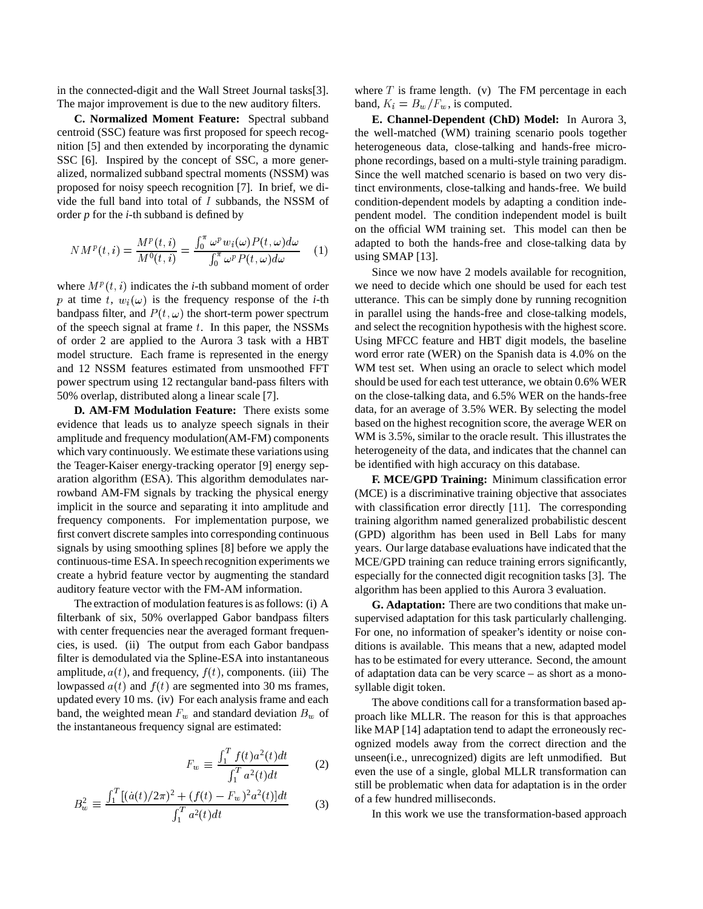in the connected-digit and the Wall Street Journal tasks[3]. The major improvement is due to the new auditory filters.

**C. Normalized Moment Feature:** Spectral subband centroid (SSC) feature was first proposed for speech recognition [5] and then extended by incorporating the dynamic SSC [6]. Inspired by the concept of SSC, a more generalized, normalized subband spectral moments (NSSM) was proposed for noisy speech recognition [7]. In brief, we divide the full band into total of  $I$  subbands, the NSSM of order *p* for the *i*-th subband is defined by

$$
N M^{p}(t,i) = \frac{M^{p}(t,i)}{M^{0}(t,i)} = \frac{\int_{0}^{\pi} \omega^{p} w_{i}(\omega) P(t,\omega) d\omega}{\int_{0}^{\pi} \omega^{p} P(t,\omega) d\omega} \quad (1)
$$

where  $M^p(t, i)$  indicates the *i*-th subband moment of order p at time t,  $w_i(\omega)$  is the frequency response of the *i*-th bandpass filter, and  $P(t, \omega)$  the short-term power spectrum of the speech signal at frame  $t$ . In this paper, the NSSMs of order 2 are applied to the Aurora 3 task with a HBT model structure. Each frame is represented in the energy and 12 NSSM features estimated from unsmoothed FFT power spectrum using 12 rectangular band-pass filters with 50% overlap, distributed along a linear scale [7].

**D. AM-FM Modulation Feature:** There exists some evidence that leads us to analyze speech signals in their amplitude and frequency modulation(AM-FM) components which vary continuously. We estimate these variations using the Teager-Kaiser energy-tracking operator [9] energy separation algorithm (ESA). This algorithm demodulates narrowband AM-FM signals by tracking the physical energy implicit in the source and separating it into amplitude and frequency components. For implementation purpose, we first convert discrete samples into corresponding continuous signals by using smoothing splines [8] before we apply the continuous-time ESA.In speech recognition experiments we create a hybrid feature vector by augmenting the standard auditory feature vector with the FM-AM information.

The extraction of modulation features is as follows: (i) A filterbank of six, 50% overlapped Gabor bandpass filters with center frequencies near the averaged formant frequencies, is used. (ii) The output from each Gabor bandpass filter is demodulated via the Spline-ESA into instantaneous amplitude,  $a(t)$ , and frequency,  $f(t)$ , components. (iii) The lowpassed  $a(t)$  and  $f(t)$  are segmented into 30 ms frames, updated every 10 ms. (iv) For each analysis frame and each band, the weighted mean  $F_w$  and standard deviation  $B_w$  of the instantaneous frequency signal are estimated:

$$
F_w \equiv \frac{\int_1^T f(t) a^2(t) dt}{\int_1^T a^2(t) dt}
$$
 (2)

$$
B_w^2 \equiv \frac{\int_1^T \left[ (\dot{a}(t)/2\pi)^2 + (f(t) - F_w)^2 a^2(t) \right] dt}{\int_1^T a^2(t) dt}
$$
(3)

where  $T$  is frame length. (v) The FM percentage in each band,  $K_i = B_w/F_w$ , is computed.

**E. Channel-Dependent (ChD) Model:** In Aurora 3, the well-matched (WM) training scenario pools together heterogeneous data, close-talking and hands-free microphone recordings, based on a multi-style training paradigm. Since the well matched scenario is based on two very distinct environments, close-talking and hands-free. We build condition-dependent models by adapting a condition independent model. The condition independent model is built on the official WM training set. This model can then be adapted to both the hands-free and close-talking data by using SMAP [13].

Since we now have 2 models available for recognition, we need to decide which one should be used for each test utterance. This can be simply done by running recognition in parallel using the hands-free and close-talking models, and select the recognition hypothesis with the highest score. Using MFCC feature and HBT digit models, the baseline word error rate (WER) on the Spanish data is 4.0% on the WM test set. When using an oracle to select which model should be used for each test utterance, we obtain 0.6% WER on the close-talking data, and 6.5% WER on the hands-free data, for an average of 3.5% WER. By selecting the model based on the highest recognition score, the average WER on WM is 3.5%, similar to the oracle result. This illustrates the heterogeneity of the data, and indicates that the channel can be identified with high accuracy on this database.

**F. MCE/GPD Training:** Minimum classification error (MCE) is a discriminative training objective that associates with classification error directly [11]. The corresponding training algorithm named generalized probabilistic descent (GPD) algorithm has been used in Bell Labs for many years. Our large database evaluations have indicated that the MCE/GPD training can reduce training errors significantly, especially for the connected digit recognition tasks [3]. The algorithm has been applied to this Aurora 3 evaluation.

**G. Adaptation:** There are two conditions that make unsupervised adaptation for this task particularly challenging. For one, no information of speaker's identity or noise conditions is available. This means that a new, adapted model has to be estimated for every utterance. Second, the amount of adaptation data can be very scarce – as short as a monosyllable digit token.

The above conditions call for a transformation based approach like MLLR. The reason for this is that approaches like MAP [14] adaptation tend to adapt the erroneously recognized models away from the correct direction and the unseen(i.e., unrecognized) digits are left unmodified. But even the use of a single, global MLLR transformation can still be problematic when data for adaptation is in the order of a few hundred milliseconds.

In this work we use the transformation-based approach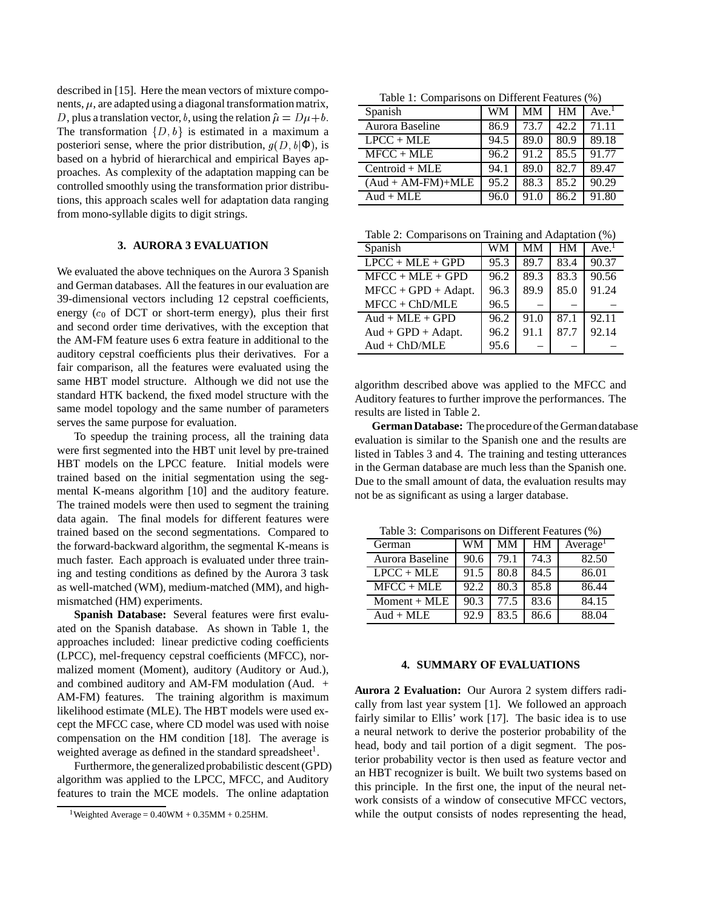described in [15]. Here the mean vectors of mixture components,  $\mu$ , are adapted using a diagonal transformation matrix, D, plus a translation vector, b, using the relation  $\hat{\mu} = D\mu + b$ . The transformation  $\{D, b\}$  is estimated in a maximum a posteriori sense, where the prior distribution,  $g(D, b | \Phi)$ , is based on a hybrid of hierarchical and empirical Bayes approaches. As complexity of the adaptation mapping can be controlled smoothly using the transformation prior distributions, this approach scales well for adaptation data ranging from mono-syllable digits to digit strings.

# **3. AURORA 3 EVALUATION**

We evaluated the above techniques on the Aurora 3 Spanish and German databases. All the features in our evaluation are 39-dimensional vectors including 12 cepstral coefficients, energy  $(c_0$  of DCT or short-term energy), plus their first and second order time derivatives, with the exception that the AM-FM feature uses 6 extra feature in additional to the auditory cepstral coefficients plus their derivatives. For a fair comparison, all the features were evaluated using the same HBT model structure. Although we did not use the standard HTK backend, the fixed model structure with the same model topology and the same number of parameters serves the same purpose for evaluation.

To speedup the training process, all the training data were first segmented into the HBT unit level by pre-trained HBT models on the LPCC feature. Initial models were trained based on the initial segmentation using the segmental K-means algorithm [10] and the auditory feature. The trained models were then used to segment the training data again. The final models for different features were trained based on the second segmentations. Compared to the forward-backward algorithm, the segmental K-means is much faster. Each approach is evaluated under three training and testing conditions as defined by the Aurora 3 task as well-matched (WM), medium-matched (MM), and highmismatched (HM) experiments.

**Spanish Database:** Several features were first evaluated on the Spanish database. As shown in Table 1, the approaches included: linear predictive coding coefficients (LPCC), mel-frequency cepstral coefficients (MFCC), normalized moment (Moment), auditory (Auditory or Aud.), and combined auditory and AM-FM modulation (Aud. + AM-FM) features. The training algorithm is maximum likelihood estimate (MLE). The HBT models were used except the MFCC case, where CD model was used with noise compensation on the HM condition [18]. The average is weighted average as defined in the standard spreadsheet<sup>1</sup>.

Furthermore, the generalized probabilistic descent (GPD) algorithm was applied to the LPCC, MFCC, and Auditory features to train the MCE models. The online adaptation

<sup>1</sup>Weighted Average =  $0.40$ WM +  $0.35$ MM +  $0.25$ HM.

Table 1: Comparisons on Different Features (%)

| $\sim$ 0.11, while 0.11 $\sim$ 111, where 1.12 $\sim$ 0.11, where $\sim$ 1.14 |      |      |      |                  |
|-------------------------------------------------------------------------------|------|------|------|------------------|
| Spanish                                                                       | WM   | MМ   | HМ   | Ave <sup>1</sup> |
| Aurora Baseline                                                               | 86.9 | 73.7 | 42.2 | 71.11            |
| $LPCC + MLE$                                                                  | 94.5 | 89.0 | 80.9 | 89.18            |
| $MFCC + MLE$                                                                  | 96.2 | 91.2 | 85.5 | 91.77            |
| $Centroid + MLE$                                                              | 94.1 | 89.0 | 82.7 | 89.47            |
| $(Aud + AM-FM)+MLE$                                                           | 95.2 | 88.3 | 85.2 | 90.29            |
| $\text{Aud} + \text{MLE}$                                                     | 96.0 | 91.0 | 86.2 | 91.80            |

Table 2: Comparisons on Training and Adaptation (%)

| Spanish                                | <b>WM</b> | <b>MM</b> | <b>HM</b> | Ave <sup>1</sup> |
|----------------------------------------|-----------|-----------|-----------|------------------|
| $LPCC + MLE + GPD$                     | 95.3      | 89.7      | 83.4      | 90.37            |
| $MFCC + MLE + GPD$                     | 96.2      | 89.3      | 83.3      | 90.56            |
| $MFCC + GPD + Adapt.$                  | 96.3      | 89.9      | 85.0      | 91.24            |
| $MFCC + ChD/MLE$                       | 96.5      |           |           |                  |
| $\text{Aud} + \text{MLE} + \text{GPD}$ | 96.2      | 91.0      | 87.1      | 92.11            |
| $Aud + GPD + Adapt.$                   | 96.2      | 91.1      | 87.7      | 92.14            |
| $Aud + ChD/MLE$                        | 95.6      |           |           |                  |

algorithm described above was applied to the MFCC and Auditory features to further improve the performances. The results are listed in Table 2.

**German Database:** The procedure of the German database evaluation is similar to the Spanish one and the results are listed in Tables 3 and 4. The training and testing utterances in the German database are much less than the Spanish one. Due to the small amount of data, the evaluation results may not be as significant as using a larger database.

Table 3: Comparisons on Different Features (%)

| German                    | WМ   | MМ   | <b>HM</b> | Average <sup>1</sup> |
|---------------------------|------|------|-----------|----------------------|
| Aurora Baseline           | 90.6 | 79.1 | 74.3      | 82.50                |
| $LPCC + MLE$              | 91.5 | 80.8 | 84.5      | 86.01                |
| $MFCC + MLE$              | 92.2 | 80.3 | 85.8      | 86.44                |
| $Moment + MLE$            | 90.3 | 77.5 | 83.6      | 84.15                |
| $\text{Aud} + \text{MLE}$ | 92.9 | 83.5 | 86.6      | 88.04                |

### **4. SUMMARY OF EVALUATIONS**

**Aurora 2 Evaluation:** Our Aurora 2 system differs radically from last year system [1]. We followed an approach fairly similar to Ellis' work [17]. The basic idea is to use a neural network to derive the posterior probability of the head, body and tail portion of a digit segment. The posterior probability vector is then used as feature vector and an HBT recognizer is built. We built two systems based on this principle. In the first one, the input of the neural network consists of a window of consecutive MFCC vectors, while the output consists of nodes representing the head,